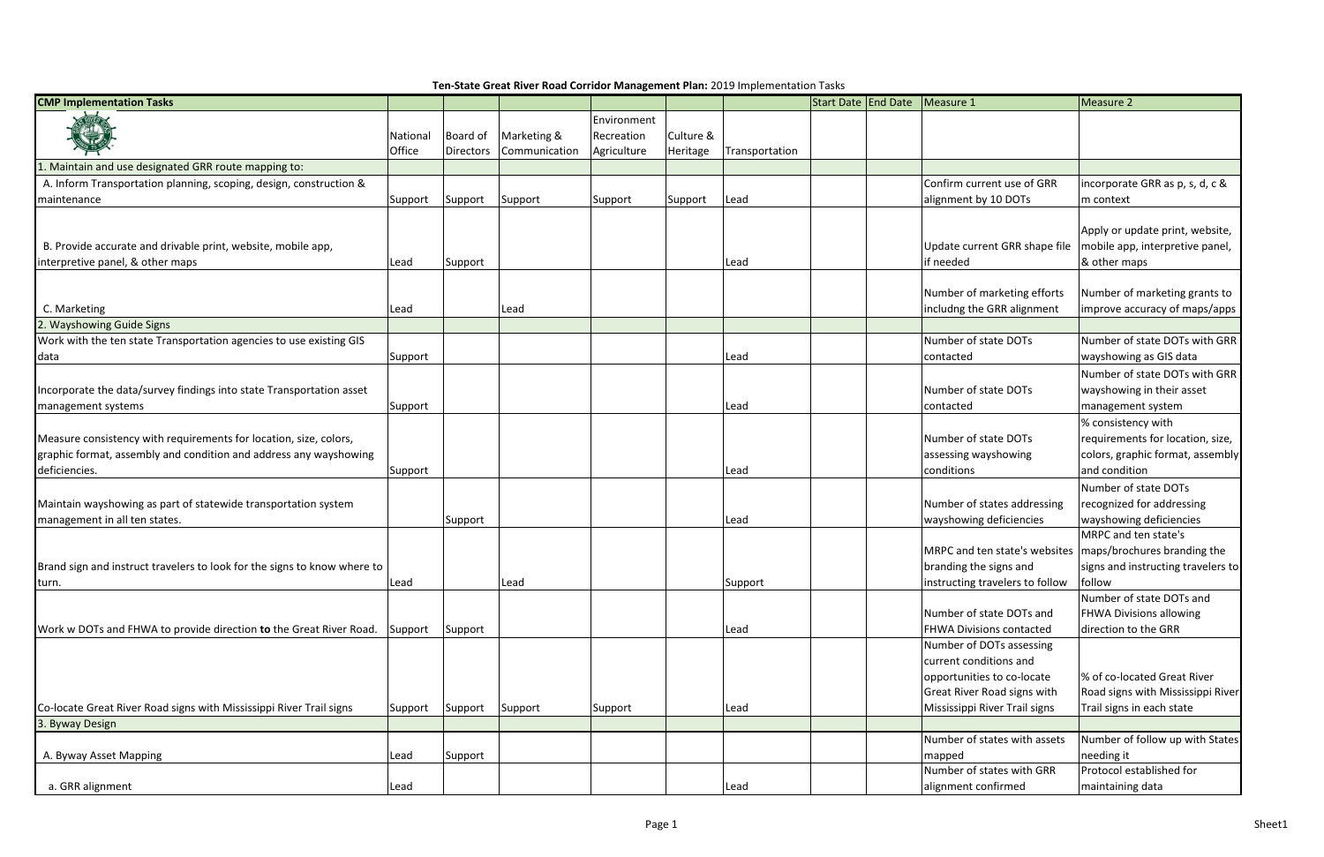| <b>CMP Implementation Tasks</b>                                            |              |                  |               |             |           |                | Start Date End Date | Measure 1                                                   | <b>Measure 2</b>                                  |
|----------------------------------------------------------------------------|--------------|------------------|---------------|-------------|-----------|----------------|---------------------|-------------------------------------------------------------|---------------------------------------------------|
|                                                                            |              |                  |               | Environment |           |                |                     |                                                             |                                                   |
|                                                                            | National     | <b>Board of</b>  | Marketing &   | Recreation  | Culture & |                |                     |                                                             |                                                   |
|                                                                            | Office       | <b>Directors</b> | Communication | Agriculture | Heritage  | Transportation |                     |                                                             |                                                   |
| 1. Maintain and use designated GRR route mapping to:                       |              |                  |               |             |           |                |                     |                                                             |                                                   |
| A. Inform Transportation planning, scoping, design, construction &         |              |                  |               |             |           |                |                     | Confirm current use of GRR                                  | incorporate GRR as p, s, d, c &                   |
| maintenance                                                                | Support      | Support          | Support       | Support     | Support   | Lead           |                     | alignment by 10 DOTs                                        | m context                                         |
|                                                                            |              |                  |               |             |           |                |                     |                                                             | Apply or update print, website,                   |
| B. Provide accurate and drivable print, website, mobile app,               |              |                  |               |             |           |                |                     | Update current GRR shape file                               | mobile app, interpretive panel,                   |
| interpretive panel, & other maps                                           | Lead         | Support          |               |             |           | Lead           |                     | if needed                                                   | & other maps                                      |
|                                                                            |              |                  |               |             |           |                |                     |                                                             |                                                   |
|                                                                            |              |                  |               |             |           |                |                     | Number of marketing efforts                                 | Number of marketing grants to                     |
| C. Marketing                                                               | <b>ILead</b> |                  | Lead          |             |           |                |                     | includng the GRR alignment                                  | improve accuracy of maps/apps                     |
| 2. Wayshowing Guide Signs                                                  |              |                  |               |             |           |                |                     |                                                             |                                                   |
| Work with the ten state Transportation agencies to use existing GIS        |              |                  |               |             |           |                |                     | Number of state DOTs                                        | Number of state DOTs with GRR                     |
| data                                                                       | Support      |                  |               |             |           | Lead           |                     | contacted                                                   | wayshowing as GIS data                            |
|                                                                            |              |                  |               |             |           |                |                     |                                                             | Number of state DOTs with GRR                     |
| Incorporate the data/survey findings into state Transportation asset       |              |                  |               |             |           |                |                     | Number of state DOTs                                        | wayshowing in their asset                         |
| management systems                                                         | Support      |                  |               |             |           | Lead           |                     | contacted                                                   | management system                                 |
|                                                                            |              |                  |               |             |           |                |                     |                                                             | % consistency with                                |
| Measure consistency with requirements for location, size, colors,          |              |                  |               |             |           |                |                     | Number of state DOTs                                        | requirements for location, size,                  |
| graphic format, assembly and condition and address any wayshowing          |              |                  |               |             |           |                |                     |                                                             |                                                   |
| deficiencies.                                                              |              |                  |               |             |           |                |                     | assessing wayshowing<br>conditions                          | colors, graphic format, assembly<br>and condition |
|                                                                            | Support      |                  |               |             |           | Lead           |                     |                                                             |                                                   |
|                                                                            |              |                  |               |             |           |                |                     |                                                             | Number of state DOTs                              |
| Maintain wayshowing as part of statewide transportation system             |              |                  |               |             |           |                |                     | Number of states addressing                                 | recognized for addressing                         |
| management in all ten states.                                              |              | Support          |               |             |           | Lead           |                     | wayshowing deficiencies                                     | wayshowing deficiencies                           |
|                                                                            |              |                  |               |             |           |                |                     |                                                             | MRPC and ten state's                              |
|                                                                            |              |                  |               |             |           |                |                     | MRPC and ten state's websites   maps/brochures branding the |                                                   |
| Brand sign and instruct travelers to look for the signs to know where to   |              |                  |               |             |           |                |                     | branding the signs and                                      | signs and instructing travelers to                |
| turn.                                                                      | Lead         |                  | Lead          |             |           | Support        |                     | instructing travelers to follow                             | follow                                            |
|                                                                            |              |                  |               |             |           |                |                     |                                                             | Number of state DOTs and                          |
|                                                                            |              |                  |               |             |           |                |                     | Number of state DOTs and                                    | <b>FHWA Divisions allowing</b>                    |
| Work w DOTs and FHWA to provide direction to the Great River Road. Support |              | Support          |               |             |           | Lead           |                     | <b>FHWA Divisions contacted</b>                             | direction to the GRR                              |
|                                                                            |              |                  |               |             |           |                |                     | Number of DOTs assessing                                    |                                                   |
|                                                                            |              |                  |               |             |           |                |                     | current conditions and                                      |                                                   |
|                                                                            |              |                  |               |             |           |                |                     | opportunities to co-locate                                  | % of co-located Great River                       |
|                                                                            |              |                  |               |             |           |                |                     | Great River Road signs with                                 | Road signs with Mississippi River                 |
| Co-locate Great River Road signs with Mississippi River Trail signs        | Support      | Support          | Support       | Support     |           | Lead           |                     | Mississippi River Trail signs                               | Trail signs in each state                         |
| 3. Byway Design                                                            |              |                  |               |             |           |                |                     |                                                             |                                                   |
|                                                                            |              |                  |               |             |           |                |                     | Number of states with assets                                | Number of follow up with States                   |
| A. Byway Asset Mapping                                                     | Lead         | Support          |               |             |           |                |                     | mapped                                                      | needing it                                        |
|                                                                            |              |                  |               |             |           |                |                     | Number of states with GRR                                   | Protocol established for                          |
| a. GRR alignment                                                           | Lead         |                  |               |             |           | Lead           |                     | alignment confirmed                                         | maintaining data                                  |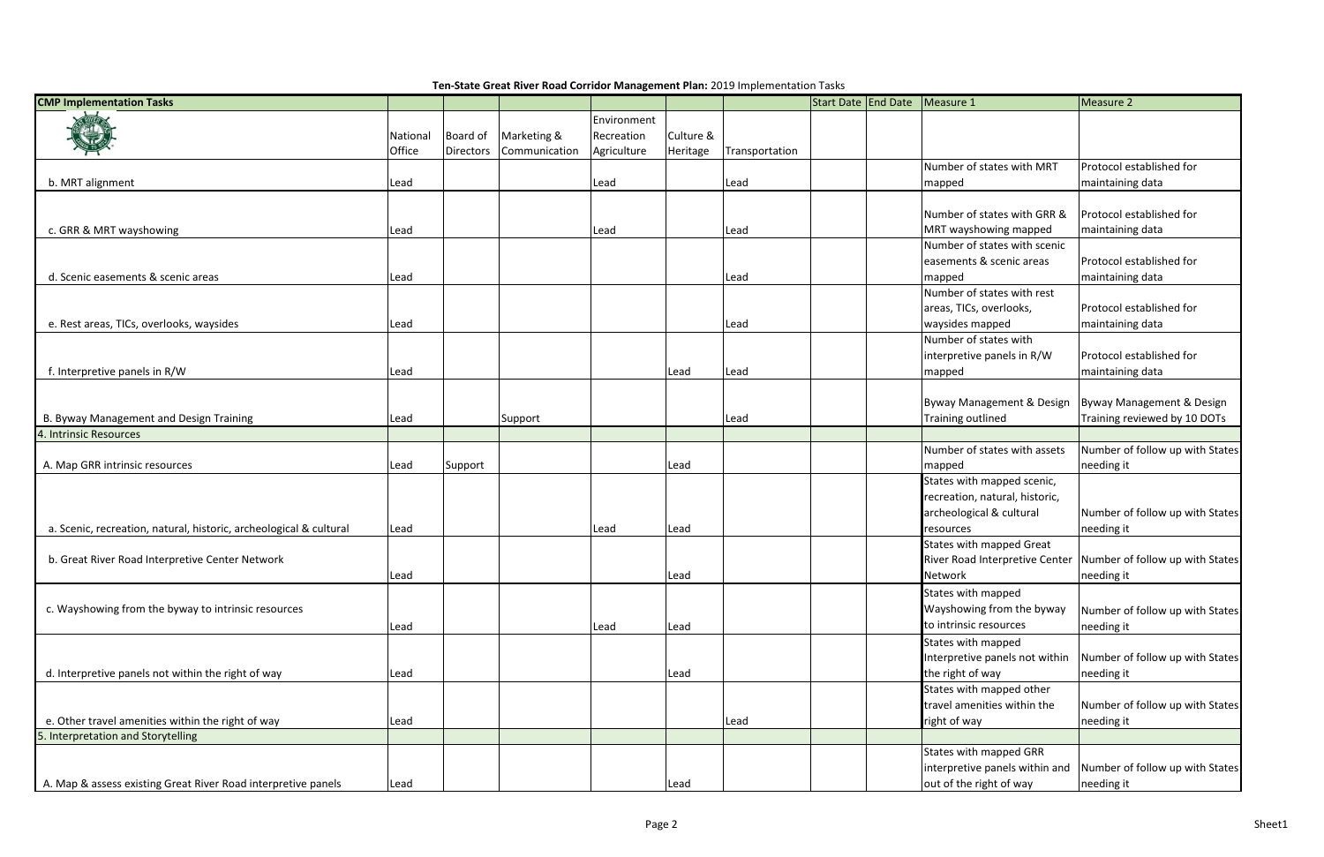| <b>CMP Implementation Tasks</b>                                    |          |                  |               |             |           |                | Start Date End Date | Measure 1                       | Measure 2                                                        |
|--------------------------------------------------------------------|----------|------------------|---------------|-------------|-----------|----------------|---------------------|---------------------------------|------------------------------------------------------------------|
|                                                                    |          |                  |               | Environment |           |                |                     |                                 |                                                                  |
|                                                                    | National | Board of         | Marketing &   | Recreation  | Culture & |                |                     |                                 |                                                                  |
|                                                                    | Office   | <b>Directors</b> | Communication | Agriculture | Heritage  | Transportation |                     |                                 |                                                                  |
|                                                                    |          |                  |               |             |           |                |                     | Number of states with MRT       | Protocol established for                                         |
| b. MRT alignment                                                   | Lead     |                  |               | Lead        |           | Lead           |                     | mapped                          | maintaining data                                                 |
|                                                                    |          |                  |               |             |           |                |                     |                                 |                                                                  |
|                                                                    |          |                  |               |             |           |                |                     | Number of states with GRR &     | Protocol established for                                         |
| c. GRR & MRT wayshowing                                            | Lead     |                  |               | Lead        |           | Lead           |                     | MRT wayshowing mapped           | maintaining data                                                 |
|                                                                    |          |                  |               |             |           |                |                     | Number of states with scenic    |                                                                  |
|                                                                    |          |                  |               |             |           |                |                     | easements & scenic areas        | Protocol established for                                         |
| d. Scenic easements & scenic areas                                 | Lead     |                  |               |             |           | Lead           |                     | mapped                          | maintaining data                                                 |
|                                                                    |          |                  |               |             |           |                |                     | Number of states with rest      |                                                                  |
|                                                                    |          |                  |               |             |           |                |                     | areas, TICs, overlooks,         | Protocol established for                                         |
| e. Rest areas, TICs, overlooks, waysides                           | Lead     |                  |               |             |           | Lead           |                     | waysides mapped                 | maintaining data                                                 |
|                                                                    |          |                  |               |             |           |                |                     | Number of states with           |                                                                  |
|                                                                    |          |                  |               |             |           |                |                     | interpretive panels in R/W      | Protocol established for                                         |
| f. Interpretive panels in R/W                                      | Lead     |                  |               |             | Lead      | Lead           |                     | mapped                          | maintaining data                                                 |
|                                                                    |          |                  |               |             |           |                |                     |                                 |                                                                  |
|                                                                    |          |                  |               |             |           |                |                     | Byway Management & Design       | Byway Management & Design                                        |
| B. Byway Management and Design Training                            | Lead     |                  | Support       |             |           | Lead           |                     | Training outlined               | Training reviewed by 10 DOTs                                     |
| 4. Intrinsic Resources                                             |          |                  |               |             |           |                |                     |                                 |                                                                  |
|                                                                    |          |                  |               |             |           |                |                     | Number of states with assets    | Number of follow up with States                                  |
| A. Map GRR intrinsic resources                                     | Lead     | Support          |               |             | Lead      |                |                     | mapped                          | needing it                                                       |
|                                                                    |          |                  |               |             |           |                |                     | States with mapped scenic,      |                                                                  |
|                                                                    |          |                  |               |             |           |                |                     | recreation, natural, historic,  |                                                                  |
|                                                                    |          |                  |               |             |           |                |                     | archeological & cultural        | Number of follow up with States                                  |
| a. Scenic, recreation, natural, historic, archeological & cultural | Lead     |                  |               | Lead        | Lead      |                |                     | resources                       | needing it                                                       |
|                                                                    |          |                  |               |             |           |                |                     | <b>States with mapped Great</b> |                                                                  |
| b. Great River Road Interpretive Center Network                    |          |                  |               |             |           |                |                     |                                 | River Road Interpretive Center   Number of follow up with States |
|                                                                    | Lead     |                  |               |             | Lead      |                |                     | Network                         | needing it                                                       |
|                                                                    |          |                  |               |             |           |                |                     | States with mapped              |                                                                  |
| c. Wayshowing from the byway to intrinsic resources                |          |                  |               |             |           |                |                     | Wayshowing from the byway       | Number of follow up with States                                  |
|                                                                    | Lead     |                  |               | Lead        | Lead      |                |                     | to intrinsic resources          | needing it                                                       |
|                                                                    |          |                  |               |             |           |                |                     | States with mapped              |                                                                  |
|                                                                    |          |                  |               |             |           |                |                     | Interpretive panels not within  | Number of follow up with States                                  |
| d. Interpretive panels not within the right of way                 | Lead     |                  |               |             | Lead      |                |                     | the right of way                | needing it                                                       |
|                                                                    |          |                  |               |             |           |                |                     | States with mapped other        |                                                                  |
|                                                                    |          |                  |               |             |           |                |                     | travel amenities within the     | Number of follow up with States                                  |
| e. Other travel amenities within the right of way                  | Lead     |                  |               |             |           | Lead           |                     | right of way                    | needing it                                                       |
| 5. Interpretation and Storytelling                                 |          |                  |               |             |           |                |                     |                                 |                                                                  |
|                                                                    |          |                  |               |             |           |                |                     | States with mapped GRR          |                                                                  |
|                                                                    |          |                  |               |             |           |                |                     | interpretive panels within and  | Number of follow up with States                                  |
| A. Map & assess existing Great River Road interpretive panels      | Lead     |                  |               |             | Lead      |                |                     | out of the right of way         | needing it                                                       |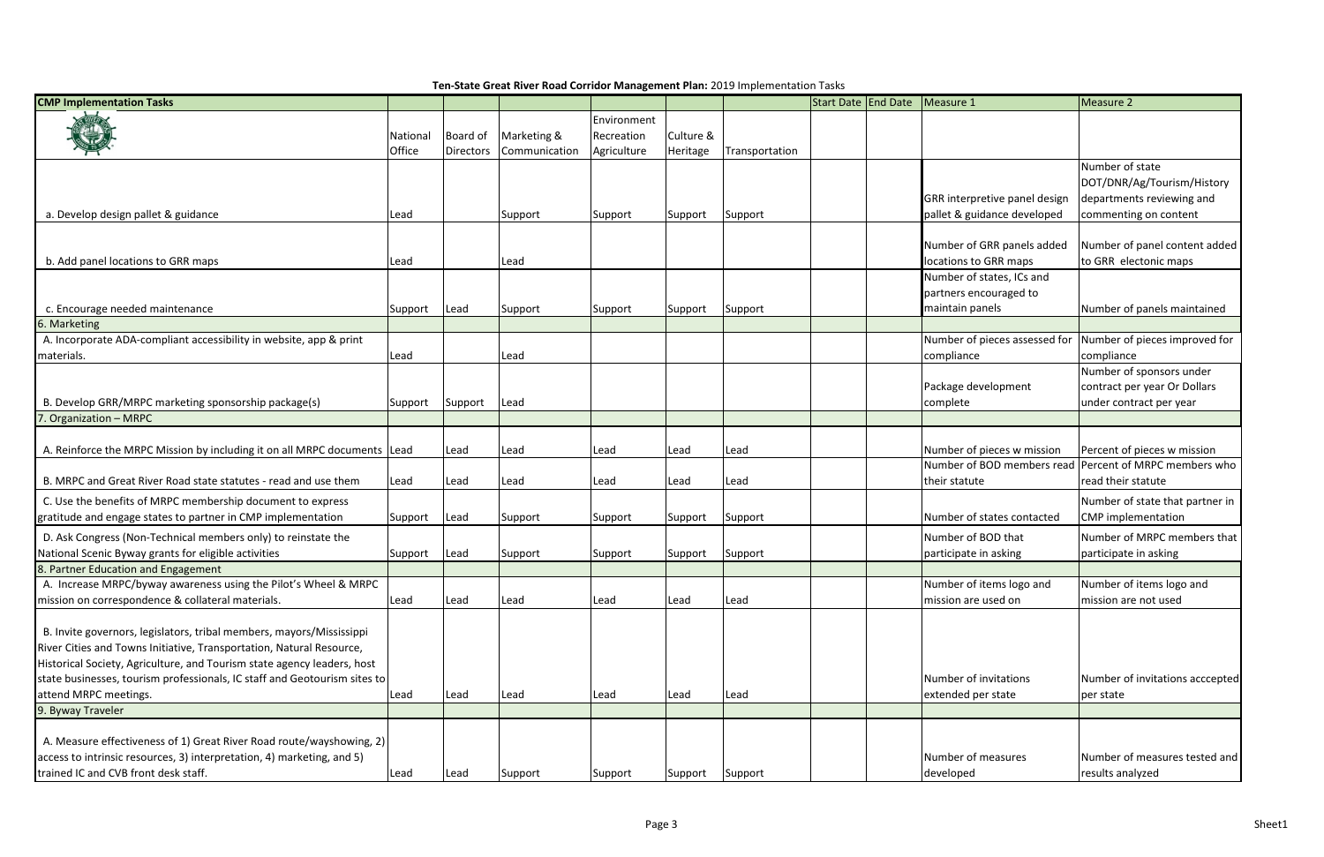| Environment                                                                                                                                               |                                 |
|-----------------------------------------------------------------------------------------------------------------------------------------------------------|---------------------------------|
|                                                                                                                                                           |                                 |
| Marketing &<br>Culture &<br>National<br>Board of<br>Recreation                                                                                            |                                 |
| Office<br>Agriculture<br>Directors<br>Communication<br>Heritage<br>Transportation                                                                         |                                 |
|                                                                                                                                                           | Number of state                 |
|                                                                                                                                                           | DOT/DNR/Ag/Tourism/History      |
| GRR interpretive panel design                                                                                                                             | departments reviewing and       |
| pallet & guidance developed<br>a. Develop design pallet & guidance<br>Lead<br>Support<br>Support<br>Support<br>Support                                    | commenting on content           |
|                                                                                                                                                           |                                 |
| Number of GRR panels added                                                                                                                                | Number of panel content added   |
| b. Add panel locations to GRR maps<br>locations to GRR maps<br>Lead<br>Lead                                                                               | to GRR electonic maps           |
| Number of states, ICs and                                                                                                                                 |                                 |
| partners encouraged to                                                                                                                                    |                                 |
| c. Encourage needed maintenance<br>maintain panels<br>Lead<br>Support<br>Support<br>Support<br>Support<br>Support                                         | Number of panels maintained     |
| 6. Marketing                                                                                                                                              |                                 |
| A. Incorporate ADA-compliant accessibility in website, app & print<br>Number of pieces assessed for                                                       | Number of pieces improved for   |
| compliance<br>materials.<br>Lead<br>Lead                                                                                                                  | compliance                      |
|                                                                                                                                                           | Number of sponsors under        |
| Package development                                                                                                                                       | contract per year Or Dollars    |
| B. Develop GRR/MRPC marketing sponsorship package(s)<br>complete<br>Lead<br>Support<br>Support<br>7. Organization - MRPC                                  | under contract per year         |
|                                                                                                                                                           |                                 |
| A. Reinforce the MRPC Mission by including it on all MRPC documents Lead<br>Number of pieces w mission<br>Lead<br>Lead<br>Lead<br>Lead<br>Lead            | Percent of pieces w mission     |
| Number of BOD members read Percent of MRPC members who                                                                                                    |                                 |
| B. MRPC and Great River Road state statutes - read and use them<br>Lead<br>Lead<br>Lead<br>Lead<br>Lead<br>Lead<br>their statute                          | read their statute              |
| C. Use the benefits of MRPC membership document to express                                                                                                | Number of state that partner in |
| gratitude and engage states to partner in CMP implementation<br>Number of states contacted<br>Lead<br>Support<br>Support<br>Support<br>Support<br>Support | CMP implementation              |
|                                                                                                                                                           |                                 |
| D. Ask Congress (Non-Technical members only) to reinstate the<br>Number of BOD that                                                                       | Number of MRPC members that     |
| National Scenic Byway grants for eligible activities<br>participate in asking<br>Lead<br>Support<br>Support<br>Support<br>Support<br>Support              | participate in asking           |
| 8. Partner Education and Engagement                                                                                                                       |                                 |
| A. Increase MRPC/byway awareness using the Pilot's Wheel & MRPC<br>Number of items logo and                                                               | Number of items logo and        |
| mission on correspondence & collateral materials.<br>mission are used on<br>Lead<br>Lead<br>Lead<br>Lead<br>Lead<br>Lead                                  | mission are not used            |
| B. Invite governors, legislators, tribal members, mayors/Mississippi                                                                                      |                                 |
| River Cities and Towns Initiative, Transportation, Natural Resource,                                                                                      |                                 |
| Historical Society, Agriculture, and Tourism state agency leaders, host                                                                                   |                                 |
| state businesses, tourism professionals, IC staff and Geotourism sites to<br>Number of invitations                                                        | Number of invitations acccepted |
| attend MRPC meetings.<br>extended per state<br>Lead<br>Lead<br>Lead<br>Lead<br>Lead<br>Lead                                                               | per state                       |
| 9. Byway Traveler                                                                                                                                         |                                 |
|                                                                                                                                                           |                                 |
| A. Measure effectiveness of 1) Great River Road route/wayshowing, 2)                                                                                      |                                 |
| access to intrinsic resources, 3) interpretation, 4) marketing, and 5)<br>Number of measures                                                              | Number of measures tested and   |
| trained IC and CVB front desk staff.<br>developed<br>Lead<br>Lead<br>Support<br>Support<br>Support<br>Support                                             | results analyzed                |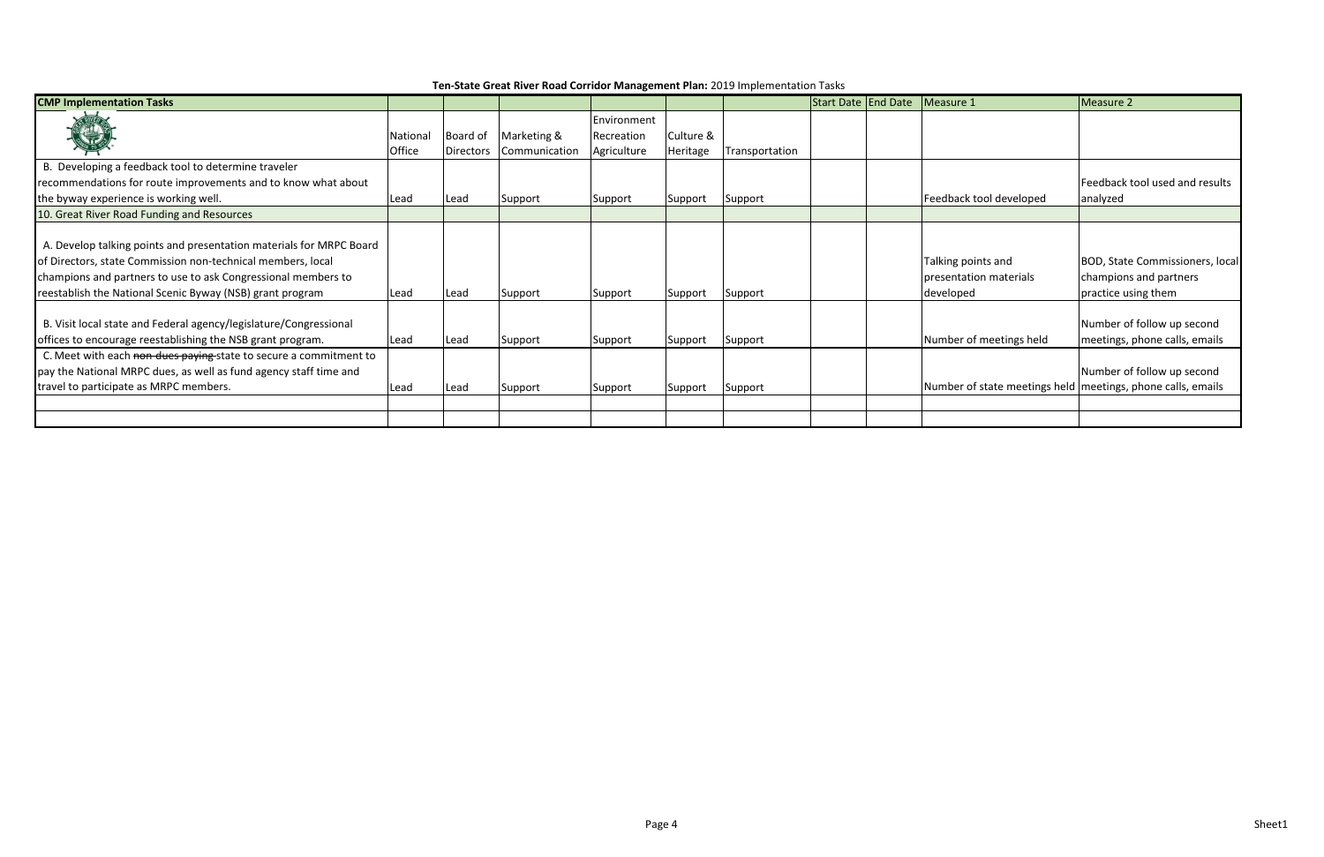| <b>CMP Implementation Tasks</b>                                     |               |           |               |             |           |                | Start Date End Date | Measure 1                                                     | Measure 2                       |
|---------------------------------------------------------------------|---------------|-----------|---------------|-------------|-----------|----------------|---------------------|---------------------------------------------------------------|---------------------------------|
|                                                                     |               |           |               | Environment |           |                |                     |                                                               |                                 |
|                                                                     | National      | Board of  | Marketing &   | Recreation  | Culture & |                |                     |                                                               |                                 |
|                                                                     | <b>Office</b> | Directors | Communication | Agriculture | Heritage  | Transportation |                     |                                                               |                                 |
| B. Developing a feedback tool to determine traveler                 |               |           |               |             |           |                |                     |                                                               |                                 |
| recommendations for route improvements and to know what about       |               |           |               |             |           |                |                     |                                                               | Feedback tool used and results  |
| the byway experience is working well.                               | Lead          | Lead      | Support       | Support     | Support   | Support        |                     | Feedback tool developed                                       | analyzed                        |
| 10. Great River Road Funding and Resources                          |               |           |               |             |           |                |                     |                                                               |                                 |
|                                                                     |               |           |               |             |           |                |                     |                                                               |                                 |
| A. Develop talking points and presentation materials for MRPC Board |               |           |               |             |           |                |                     |                                                               |                                 |
| of Directors, state Commission non-technical members, local         |               |           |               |             |           |                |                     | Talking points and                                            | BOD, State Commissioners, local |
| champions and partners to use to ask Congressional members to       |               |           |               |             |           |                |                     | presentation materials                                        | champions and partners          |
| reestablish the National Scenic Byway (NSB) grant program           | <b>ILead</b>  | Lead      | Support       | Support     | Support   | Support        |                     | developed                                                     | practice using them             |
|                                                                     |               |           |               |             |           |                |                     |                                                               |                                 |
| B. Visit local state and Federal agency/legislature/Congressional   |               |           |               |             |           |                |                     |                                                               | Number of follow up second      |
| offices to encourage reestablishing the NSB grant program.          | Lead          | Lead      | Support       | Support     | Support   | Support        |                     | Number of meetings held                                       | meetings, phone calls, emails   |
| C. Meet with each non-dues paying-state to secure a commitment to   |               |           |               |             |           |                |                     |                                                               |                                 |
| pay the National MRPC dues, as well as fund agency staff time and   |               |           |               |             |           |                |                     |                                                               | Number of follow up second      |
| travel to participate as MRPC members.                              | Lead          | Lead      | Support       | Support     | Support   | Support        |                     | Number of state meetings held   meetings, phone calls, emails |                                 |
|                                                                     |               |           |               |             |           |                |                     |                                                               |                                 |
|                                                                     |               |           |               |             |           |                |                     |                                                               |                                 |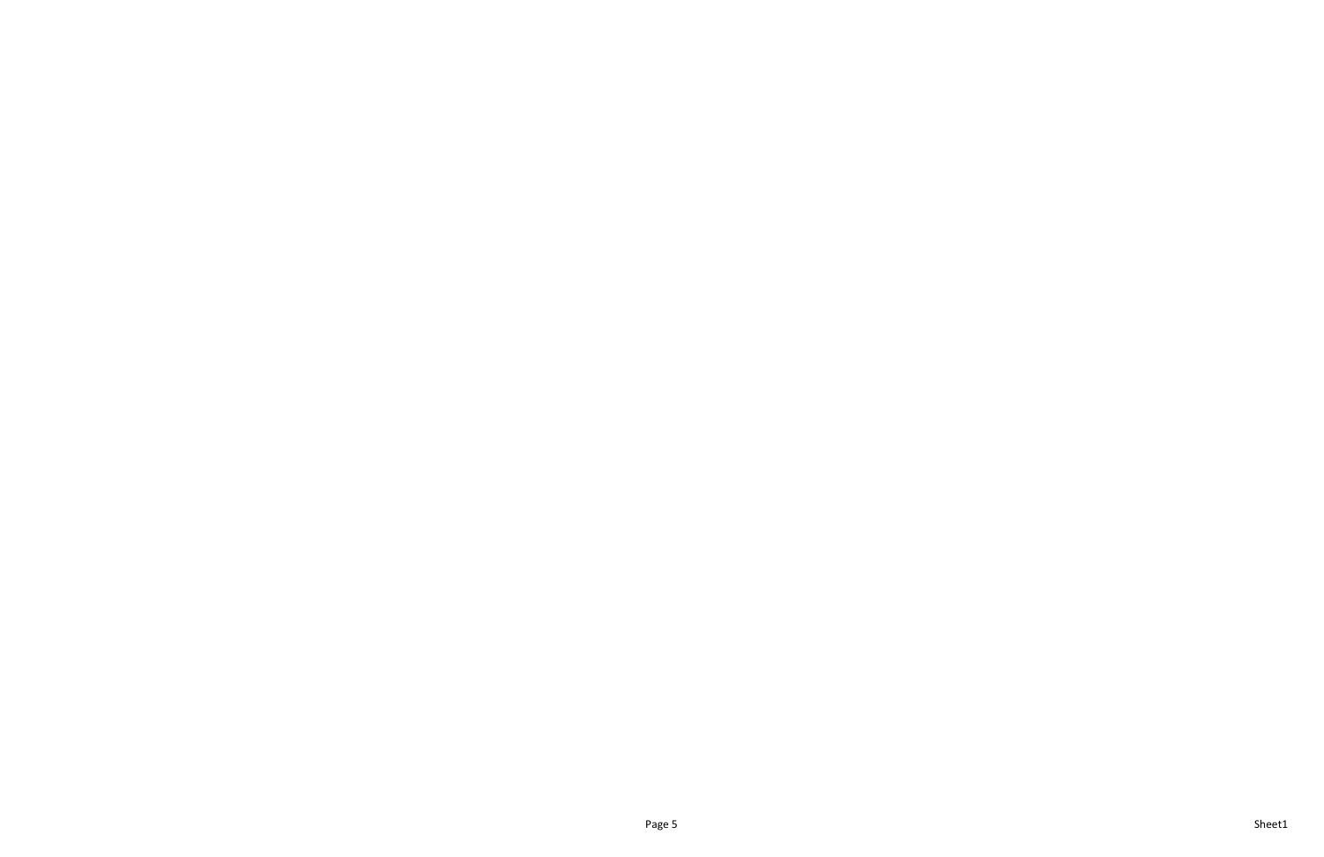Page 5 Sheet1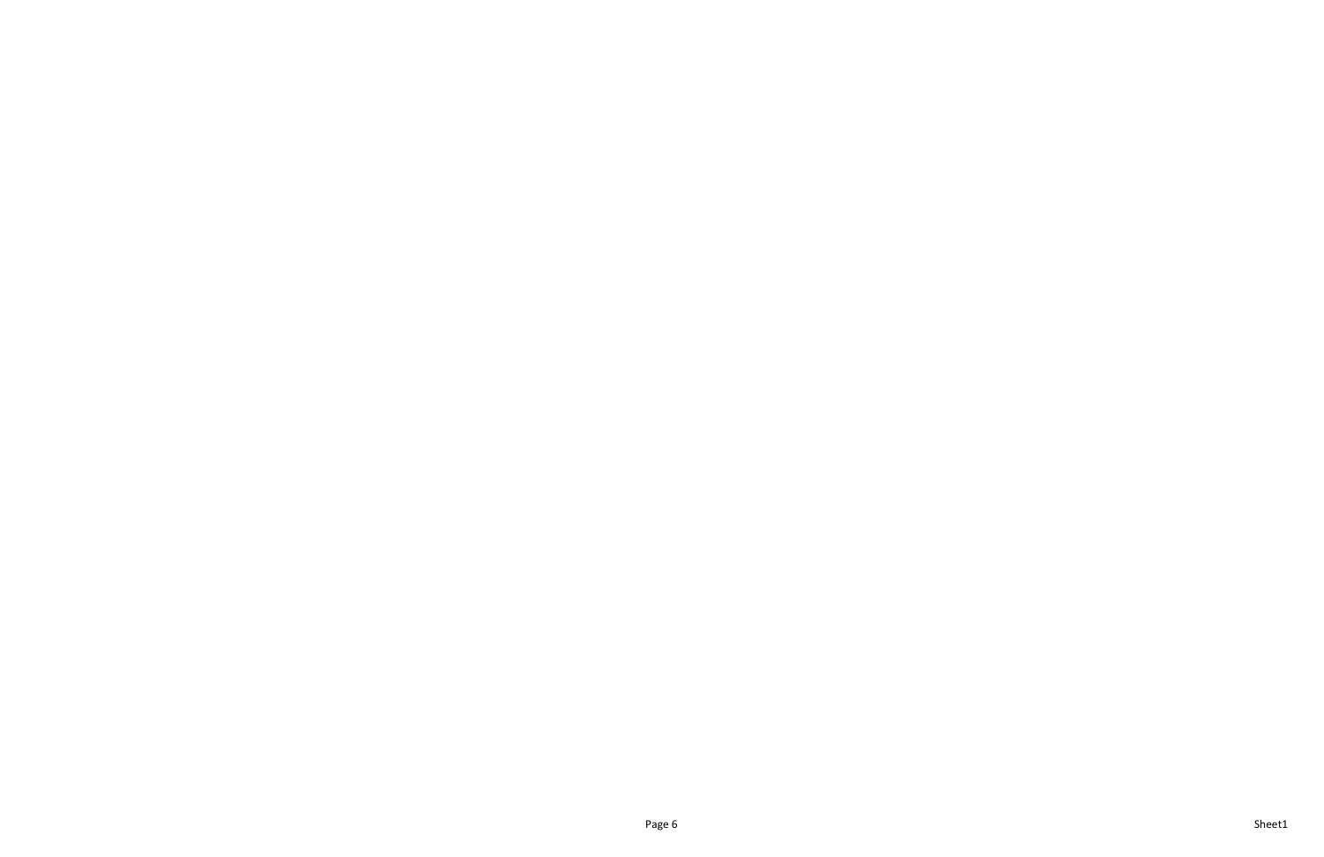Page 6 Sheet1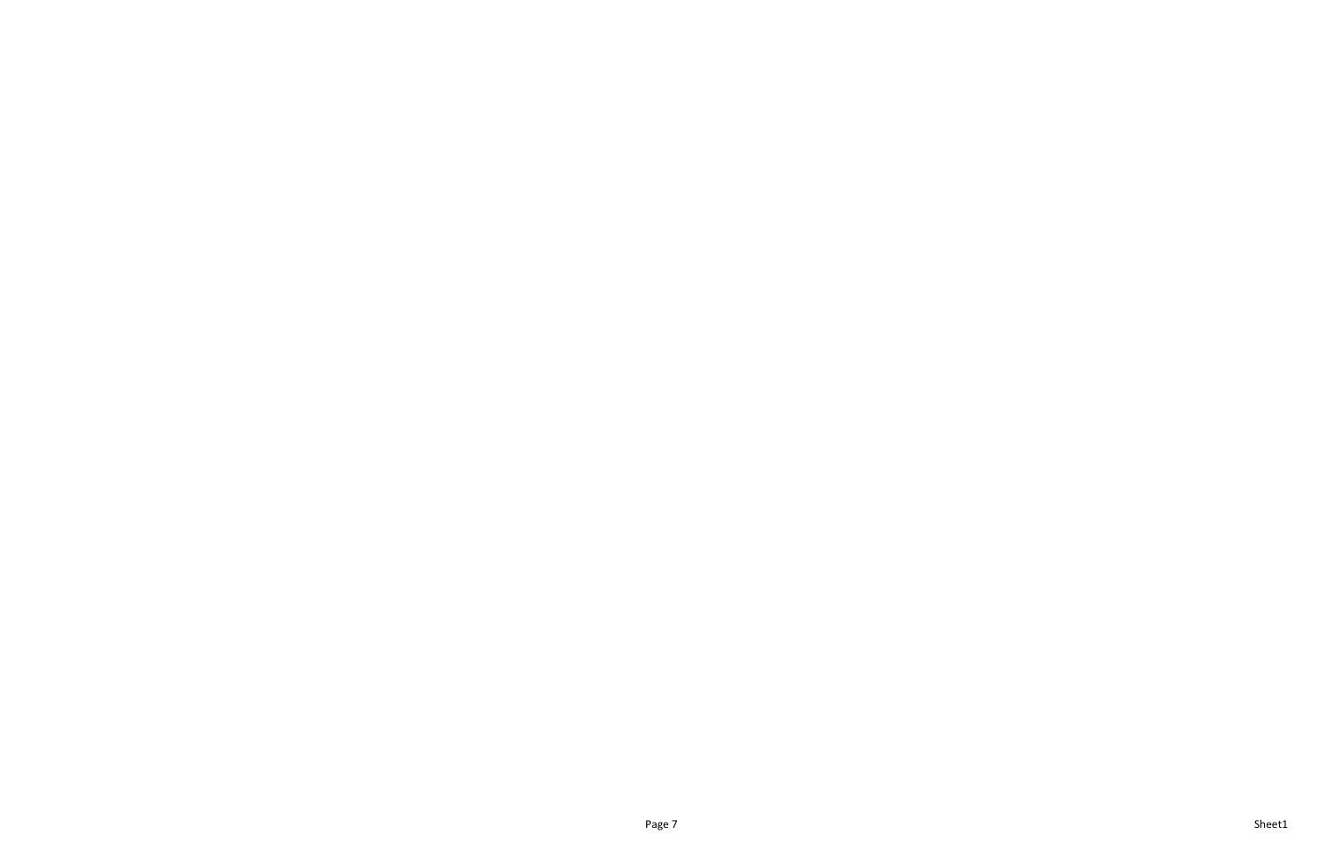Page 7 Sheet1